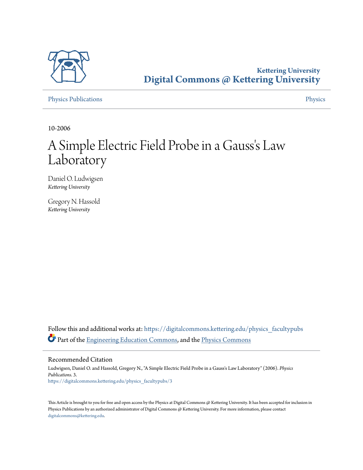

## **Kettering University [Digital Commons @ Kettering University](https://digitalcommons.kettering.edu?utm_source=digitalcommons.kettering.edu%2Fphysics_facultypubs%2F3&utm_medium=PDF&utm_campaign=PDFCoverPages)**

[Physics Publications](https://digitalcommons.kettering.edu/physics_facultypubs?utm_source=digitalcommons.kettering.edu%2Fphysics_facultypubs%2F3&utm_medium=PDF&utm_campaign=PDFCoverPages) [Physics](https://digitalcommons.kettering.edu/physics?utm_source=digitalcommons.kettering.edu%2Fphysics_facultypubs%2F3&utm_medium=PDF&utm_campaign=PDFCoverPages)

10-2006

# A Simple Electric Field Probe in a Gauss 's Law **Laboratory**

Daniel O. Ludwigsen *Kettering University*

Gregory N. Hassold *Kettering University*

Follow this and additional works at: [https://digitalcommons.kettering.edu/physics\\_facultypubs](https://digitalcommons.kettering.edu/physics_facultypubs?utm_source=digitalcommons.kettering.edu%2Fphysics_facultypubs%2F3&utm_medium=PDF&utm_campaign=PDFCoverPages) Part of the [Engineering Education Commons](http://network.bepress.com/hgg/discipline/1191?utm_source=digitalcommons.kettering.edu%2Fphysics_facultypubs%2F3&utm_medium=PDF&utm_campaign=PDFCoverPages), and the [Physics Commons](http://network.bepress.com/hgg/discipline/193?utm_source=digitalcommons.kettering.edu%2Fphysics_facultypubs%2F3&utm_medium=PDF&utm_campaign=PDFCoverPages)

#### Recommended Citation

Ludwigsen, Daniel O. and Hassold, Gregory N., "A Simple Electric Field Probe in a Gauss's Law Laboratory" (2006). *Physics Publications*. 3. [https://digitalcommons.kettering.edu/physics\\_facultypubs/3](https://digitalcommons.kettering.edu/physics_facultypubs/3?utm_source=digitalcommons.kettering.edu%2Fphysics_facultypubs%2F3&utm_medium=PDF&utm_campaign=PDFCoverPages)

This Article is brought to you for free and open access by the Physics at Digital Commons @ Kettering University. It has been accepted for inclusion in Physics Publications by an authorized administrator of Digital Commons @ Kettering University. For more information, please contact [digitalcommons@kettering.edu.](mailto:digitalcommons@kettering.edu)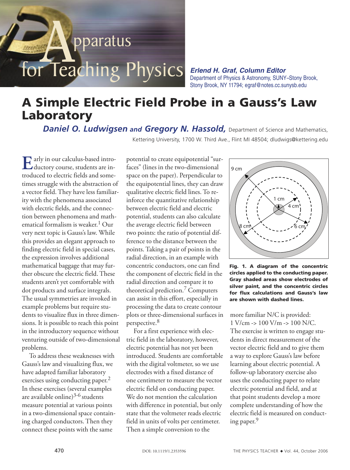

**Erlend H. Graf, Column Editor**  Department of Physics & Astronomy, SUNY–Stony Brook, Stony Brook, NY 11794; egraf@notes.cc.sunysb.edu

# A Simple Electric Field Probe in a Gauss's Law Laboratory

**Daniel O. Ludwigsen and Gregory N. Hassold,** Department of Science and Mathematics, Kettering University, 1700 W. Third Ave., Flint MI 48504; dludwigs@kettering.edu

 $\mathbf E$ arly in our calculus-based intro-<br>ductory course, students are introduced to electric fields and sometimes struggle with the abstraction of a vector field. They have less familiarity with the phenomena associated with electric fields, and the connection between phenomena and mathematical formalism is weaker.<sup>1</sup> Our very next topic is Gauss's law. While this provides an elegant approach to finding electric field in special cases, the expression involves additional mathematical baggage that may further obscure the electric field. These students aren't yet comfortable with dot products and surface integrals. The usual symmetries are invoked in example problems but require students to visualize flux in three dimensions. It is possible to reach this point in the introductory sequence without venturing outside of two-dimensional problems.

To address these weaknesses with Gauss's law and visualizing flux, we have adapted familiar laboratory exercises using conducting paper.<sup>2</sup> In these exercises (several examples are available online) $3-6$  students measure potential at various points in a two-dimensional space containing charged conductors. Then they connect these points with the same

potential to create equipotential "surfaces" (lines in the two-dimensional space on the paper). Perpendicular to the equipotential lines, they can draw qualitative electric field lines. To reinforce the quantitative relationship between electric field and electric potential, students can also calculate the average electric field between two points: the ratio of potential difference to the distance between the points. Taking a pair of points in the radial direction, in an example with concentric conductors, one can find the component of electric field in the radial direction and compare it to theoretical prediction.7 Computers can assist in this effort, especially in processing the data to create contour plots or three-dimensional surfaces in perspective.8

For a first experience with electric field in the laboratory, however, electric potential has not yet been introduced. Students are comfortable with the digital voltmeter, so we use electrodes with a fixed distance of one centimeter to measure the vector electric field on conducting paper. We do not mention the calculation with difference in potential, but only state that the voltmeter reads electric field in units of volts per centimeter. Then a simple conversion to the



Fig. 1. A diagram of the concentric circles applied to the conducting paper. Gray shaded areas show electrodes of silver paint, and the concentric circles for flux calculations and Gauss's law are shown with dashed lines.

more familiar N/C is provided: 1 V/cm -> 100 V/m -> 100 N/C. The exercise is written to engage students in direct measurement of the vector electric field and to give them a way to explore Gauss's law before learning about electric potential. A follow-up laboratory exercise also uses the conducting paper to relate electric potential and field, and at that point students develop a more complete understanding of how the electric field is measured on conducting paper.<sup>9</sup>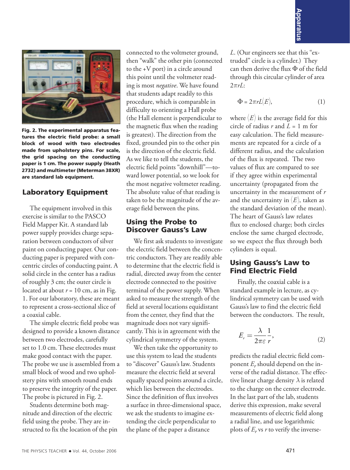



Fig. 2. The experimental apparatus features the electric field probe: a small block of wood with two electrodes made from upholstery pins. For scale, the grid spacing on the conducting paper is 1 cm. The power supply (Heath 2732) and multimeter (Meterman 38XR) are standard lab equipment.

#### Laboratory Equipment

The equipment involved in this exercise is similar to the PASCO Field Mapper Kit. A standard lab power supply provides charge separation between conductors of silver paint on conducting paper. Our conducting paper is prepared with concentric circles of conducting paint. A solid circle in the center has a radius of roughly 3 cm; the outer circle is located at about  $r = 10$  cm, as in Fig. 1. For our laboratory, these are meant to represent a cross-sectional slice of a coaxial cable.

The simple electric field probe was designed to provide a known distance between two electrodes, carefully set to 1.0 cm. These electrodes must make good contact with the paper. The probe we use is assembled from a small block of wood and two upholstery pins with smooth round ends to preserve the integrity of the paper. The probe is pictured in Fig. 2.

Students determine both magnitude and direction of the electric field using the probe. They are instructed to fix the location of the pin connected to the voltmeter ground, then "walk" the other pin (connected to the +V port) in a circle around this point until the voltmeter reading is most *negative*. We have found that students adapt readily to this procedure, which is comparable in difficulty to orienting a Hall probe (the Hall element is perpendicular to the magnetic flux when the reading is greatest). The direction from the fixed, grounded pin to the other pin is the direction of the electric field. As we like to tell the students, the electric field points "downhill"—toward lower potential, so we look for the most negative voltmeter reading. The absolute value of that reading is taken to be the magnitude of the average field between the pins.

#### Using the Probe to Discover Gauss's Law

We first ask students to investigate the electric field between the concentric conductors. They are readily able to determine that the electric field is radial, directed away from the center electrode connected to the positive terminal of the power supply. When asked to measure the strength of the field at several locations equidistant from the center, they find that the magnitude does not vary significantly. This is in agreement with the cylindrical symmetry of the system.

We then take the opportunity to use this system to lead the students to "discover" Gauss's law. Students measure the electric field at several equally spaced points around a circle, which lies between the electrodes. Since the definition of flux involves a surface in three-dimensional space, we ask the students to imagine extending the circle perpendicular to the plane of the paper a distance

*L*. (Our engineers see that this "extruded" circle is a cylinder.) They can then derive the flux  $\Phi$  of the field through this circular cylinder of area 2*πrL*:

$$
\Phi = 2\pi r L \langle E \rangle, \tag{1}
$$

where  $\langle E \rangle$  is the average field for this circle of radius  $r$  and  $L = 1$  m for easy calculation. The field measurements are repeated for a circle of a different radius, and the calculation of the flux is repeated. The two values of flux are compared to see if they agree within experimental uncertainty (propagated from the uncertainty in the measurement of *r*  and the uncertainty in  $\langle E \rangle$ , taken as the standard deviation of the mean). The heart of Gauss's law relates flux to enclosed charge; both circles enclose the same charged electrode, so we expect the flux through both cylinders is equal.

#### Using Gauss's Law to Find Electric Field

Finally, the coaxial cable is a standard example in lecture, as cylindrical symmetry can be used with Gauss's law to find the electric field between the conductors. The result,

$$
E_r = \frac{\lambda}{2\pi\varepsilon} \frac{1}{r},\tag{2}
$$

predicts the radial electric field component *Er* should depend on the inverse of the radial distance. The effective linear charge density *λ* is related to the charge on the center electrode. In the last part of the lab, students derive this expression, make several measurements of electric field along a radial line, and use logarithmic plots of  $E_r$  vs  $r$  to verify the inverse-